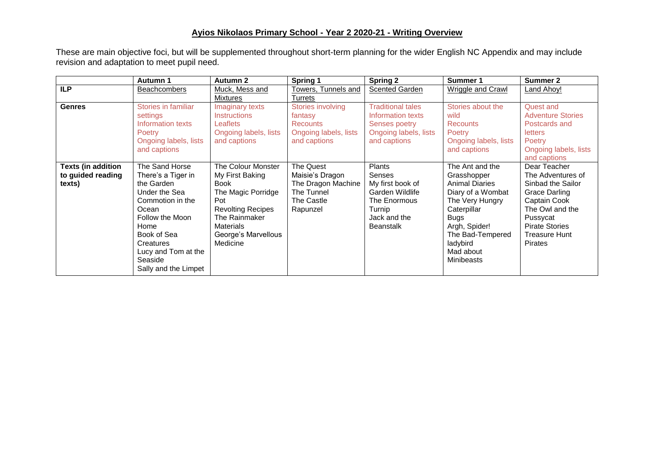## **Ayios Nikolaos Primary School - Year 2 2020-21 - Writing Overview**

These are main objective foci, but will be supplemented throughout short-term planning for the wider English NC Appendix and may include revision and adaptation to meet pupil need.

|                                                          | Autumn 1                                                                                                                                                                                                          | <b>Autumn 2</b>                                                                                                                                                                       | Spring 1                                                                                                   | <b>Spring 2</b>                                                                                                       | Summer 1                                                                                                                                                                                                         | <b>Summer 2</b>                                                                                                                                                                           |
|----------------------------------------------------------|-------------------------------------------------------------------------------------------------------------------------------------------------------------------------------------------------------------------|---------------------------------------------------------------------------------------------------------------------------------------------------------------------------------------|------------------------------------------------------------------------------------------------------------|-----------------------------------------------------------------------------------------------------------------------|------------------------------------------------------------------------------------------------------------------------------------------------------------------------------------------------------------------|-------------------------------------------------------------------------------------------------------------------------------------------------------------------------------------------|
| <b>ILP</b>                                               | <b>Beachcombers</b>                                                                                                                                                                                               | Muck, Mess and                                                                                                                                                                        | Towers, Tunnels and                                                                                        | <b>Scented Garden</b>                                                                                                 | <b>Wriggle and Crawl</b>                                                                                                                                                                                         | <b>Land Ahoy!</b>                                                                                                                                                                         |
| <b>Genres</b>                                            | Stories in familiar<br>settings<br>Information texts<br>Poetry<br>Ongoing labels, lists<br>and captions                                                                                                           | <b>Mixtures</b><br>Imaginary texts<br><b>Instructions</b><br><b>Leaflets</b><br>Ongoing labels, lists<br>and captions                                                                 | <b>Turrets</b><br>Stories involving<br>fantasy<br><b>Recounts</b><br>Ongoing labels, lists<br>and captions | <b>Traditional tales</b><br>Information texts<br>Senses poetry<br>Ongoing labels, lists<br>and captions               | Stories about the<br>wild<br><b>Recounts</b><br><b>Poetry</b><br>Ongoing labels, lists<br>and captions                                                                                                           | Quest and<br><b>Adventure Stories</b><br>Postcards and<br><b>letters</b><br>Poetry<br>Ongoing labels, lists<br>and captions                                                               |
| <b>Texts (in addition</b><br>to guided reading<br>texts) | The Sand Horse<br>There's a Tiger in<br>the Garden<br>Under the Sea<br>Commotion in the<br>Ocean<br>Follow the Moon<br>Home<br>Book of Sea<br>Creatures<br>Lucy and Tom at the<br>Seaside<br>Sally and the Limpet | The Colour Monster<br>My First Baking<br><b>Book</b><br>The Magic Porridge<br>Pot<br><b>Revolting Recipes</b><br>The Rainmaker<br><b>Materials</b><br>George's Marvellous<br>Medicine | The Quest<br>Maisie's Dragon<br>The Dragon Machine<br>The Tunnel<br>The Castle<br>Rapunzel                 | Plants<br>Senses<br>My first book of<br>Garden Wildlife<br>The Enormous<br>Turnip<br>Jack and the<br><b>Beanstalk</b> | The Ant and the<br>Grasshopper<br><b>Animal Diaries</b><br>Diary of a Wombat<br>The Very Hungry<br>Caterpillar<br><b>Bugs</b><br>Argh, Spider!<br>The Bad-Tempered<br>ladybird<br>Mad about<br><b>Minibeasts</b> | Dear Teacher<br>The Adventures of<br>Sinbad the Sailor<br>Grace Darling<br>Captain Cook<br>The Owl and the<br>Pussycat<br><b>Pirate Stories</b><br><b>Treasure Hunt</b><br><b>Pirates</b> |